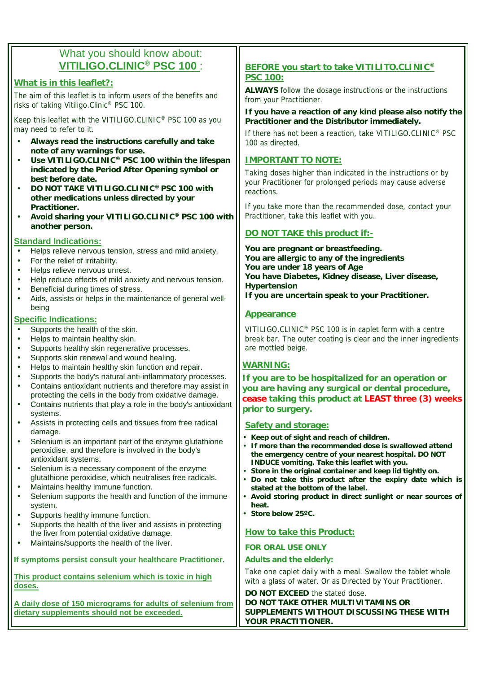# What you should know about: **VITILIGO.CLINIC® PSC 100** :

#### **What is in this leaflet?:**

The aim of this leaflet is to inform users of the benefits and risks of taking Vitiligo.Clinic® PSC 100.

Keep this leaflet with the VITILIGO.CLINIC® PSC 100 as you may need to refer to it.

- **Always read the instructions carefully and take note of any warnings for use.**
- **Use VITILIGO.CLINIC® PSC 100 within the lifespan indicated by the Period After Opening symbol or best before date.**
- **DO NOT TAKE VITILIGO.CLINIC® PSC 100 with other medications unless directed by your Practitioner.**
- **Avoid sharing your VITILIGO.CLINIC® PSC 100 with another person.**

#### **Standard Indications:**

- Helps relieve nervous tension, stress and mild anxiety.
- For the relief of irritability.
- Helps relieve nervous unrest.
- Help reduce effects of mild anxiety and nervous tension.
- Beneficial during times of stress.
- Aids, assists or helps in the maintenance of general wellbeing

#### **Specific Indications:**

- Supports the health of the skin.
- Helps to maintain healthy skin.
- Supports healthy skin regenerative processes.
- Supports skin renewal and wound healing.
- Helps to maintain healthy skin function and repair.
- Supports the body's natural anti-inflammatory processes. • Contains antioxidant nutrients and therefore may assist in
- protecting the cells in the body from oxidative damage. • Contains nutrients that play a role in the body's antioxidant systems.
- Assists in protecting cells and tissues from free radical damage.
- Selenium is an important part of the enzyme glutathione peroxidise, and therefore is involved in the body's antioxidant systems.
- Selenium is a necessary component of the enzyme glutathione peroxidise, which neutralises free radicals.
- Maintains healthy immune function.
- Selenium supports the health and function of the immune system.
- Supports healthy immune function.
- Supports the health of the liver and assists in protecting the liver from potential oxidative damage.
- Maintains/supports the health of the liver.

**If symptoms persist consult your healthcare Practitioner.**

**This product contains selenium which is toxic in high doses.**

**A daily dose of 150 micrograms for adults of selenium from dietary supplements should not be exceeded.**

## **BEFORE you start to take VITILITO.CLINIC® PSC 100:**

**ALWAYS** follow the dosage instructions or the instructions from your Practitioner.

**If you have a reaction of any kind please also notify the Practitioner and the Distributor immediately.**

If there has not been a reaction, take VITILIGO.CLINIC® PSC 100 as directed.

#### **IMPORTANT TO NOTE:**

Taking doses higher than indicated in the instructions or by your Practitioner for prolonged periods may cause adverse reactions.

If you take more than the recommended dose, contact your Practitioner, take this leaflet with you.

# **DO NOT TAKE this product if:-**

**You are pregnant or breastfeeding. You are allergic to any of the ingredients You are under 18 years of Age You have Diabetes, Kidney disease, Liver disease, Hypertension If you are uncertain speak to your Practitioner.**

#### **Appearance**

VITILIGO.CLINIC® PSC 100 is in caplet form with a centre break bar. The outer coating is clear and the inner ingredients are mottled beige.

## **WARNING:**

**If you are to be hospitalized for an operation or you are having any surgical or dental procedure, cease taking this product at LEAST three (3) weeks prior to surgery.**

#### **Safety and storage:**

- **Keep out of sight and reach of children.**
- **If more than the recommended dose is swallowed attend the emergency centre of your nearest hospital. DO NOT INDUCE vomiting. Take this leaflet with you.**
- **Store in the original container and keep lid tightly on.** • **Do not take this product after the expiry date which is**
- **stated at the bottom of the label.** • **Avoid storing product in direct sunlight or near sources of heat.**
- **Store below 25ºC.**

#### **How to take this Product:**

#### **FOR ORAL USE ONLY**

#### **Adults and the elderly:**

Take one caplet daily with a meal. Swallow the tablet whole with a glass of water. Or as Directed by Your Practitioner.

**DO NOT EXCEED** the stated dose. **DO NOT TAKE OTHER MULTIVITAMINS OR SUPPLEMENTS WITHOUT DISCUSSING THESE WITH YOUR PRACTITIONER.**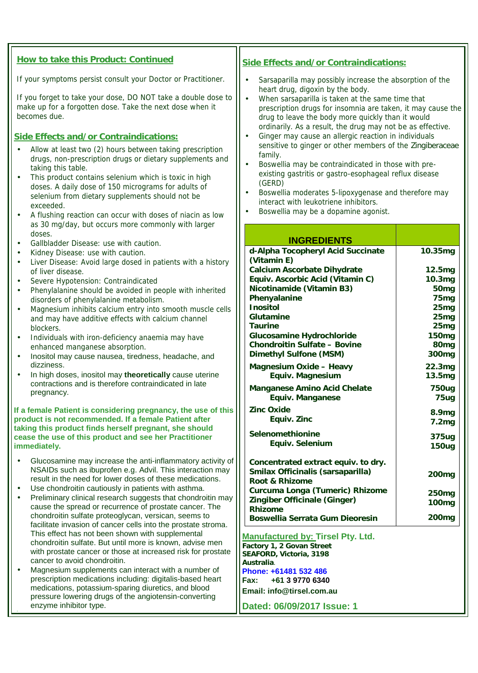| How to take this Product: Continued                                                                                                                                                                                                                                                                                                                                                                                                                                                            | Side Effects and/or Contraindications:                                                                                                                                                                                                                                                                                                                                                                 |                                        |
|------------------------------------------------------------------------------------------------------------------------------------------------------------------------------------------------------------------------------------------------------------------------------------------------------------------------------------------------------------------------------------------------------------------------------------------------------------------------------------------------|--------------------------------------------------------------------------------------------------------------------------------------------------------------------------------------------------------------------------------------------------------------------------------------------------------------------------------------------------------------------------------------------------------|----------------------------------------|
| If your symptoms persist consult your Doctor or Practitioner.                                                                                                                                                                                                                                                                                                                                                                                                                                  | Sarsaparilla may possibly increase the absorption of the<br>heart drug, digoxin by the body.                                                                                                                                                                                                                                                                                                           |                                        |
| If you forget to take your d ose, DO NOT take a double dose to<br>make up for a forgotten dose. Take the next dose when it<br>becomes due.                                                                                                                                                                                                                                                                                                                                                     | When sarsaparilla is taken at the same time that<br>prescription drugs for insomnia are taken, it may cause the<br>drug to leave the body more quickly than it would<br>ordinarily. As a result, the drug may not b e as effective.                                                                                                                                                                    |                                        |
| <b>Side Effects and/or Contraindications:</b><br>Allow at least two (2) hours between taking prescription<br>drugs, non-prescription drugs or dietary supplements and<br>taking this table.<br>This product contains selenium which is toxic in high<br>doses. A daily dose of 150 micrograms for adults of<br>selenium from dietary supplements should not be<br>exceeded.<br>A flushing reaction can occur with doses of niacin as low<br>as 30 mg/day, but occurs more commonly with larger | Ginger may cause an allergic reaction in individuals<br>sensitive to ginger or other members of the Zingiberaceae<br>family.<br>Boswellia may be contraindicated in those with pre-<br>÷,<br>existing gastritis or gastro-esophageal reflux disease<br>(GERD)<br>Boswellia moderates 5-lipoxygenase and therefore may<br>interact with leukotriene inhibitors.<br>Boswellia may be a dopamine agonist. |                                        |
| doses.                                                                                                                                                                                                                                                                                                                                                                                                                                                                                         | <b>INGREDIENTS</b>                                                                                                                                                                                                                                                                                                                                                                                     |                                        |
| Gallbladder Disease use with caution.                                                                                                                                                                                                                                                                                                                                                                                                                                                          | d-Alpha Tocopheryl Acid Succinate                                                                                                                                                                                                                                                                                                                                                                      | 10.35mg                                |
| Kidney Disease use with caution.<br>Liver Disease Avoid large dosed in patients with a history<br>of liver disease.<br>Severe Hypotension Contraindicated                                                                                                                                                                                                                                                                                                                                      | (Vitamin E)<br>Calcium Ascorbate Dihydrate<br>Equiv. Ascorbic Acid (Vitamin C)                                                                                                                                                                                                                                                                                                                         | 12.5mg<br>10.3mg                       |
| Phenylalanine should beavoided in people with inherited<br>disorders of phenylalanine metabolism.<br>Magnesium inhibits calcium entry into smooth muscle cells                                                                                                                                                                                                                                                                                                                                 | Nicotinamide (Vitamin B3)<br>Phenyalanine<br>Inositol                                                                                                                                                                                                                                                                                                                                                  | 50 <sub>mg</sub><br>75mg<br>25mg       |
| and may have additive effects with calcium channel<br>blockers.                                                                                                                                                                                                                                                                                                                                                                                                                                | Glutamine<br><b>Taurine</b><br>Glucosamine Hydrochloride                                                                                                                                                                                                                                                                                                                                               | 25mg<br>25mg<br>150 <sub>mg</sub>      |
| Individuals with iron-deficiency anaemia may have<br>enhanced manganese absorption.<br>Inositol may cause nausea, tiredness, headache, and                                                                                                                                                                                                                                                                                                                                                     | <b>Chondroitin Sulfate</b><br>, Bovine<br>Dimethyl Sulfone (MSM)                                                                                                                                                                                                                                                                                                                                       | 80 <sub>mg</sub><br>300 <sub>mg</sub>  |
| dizziness.<br>In high doses, inositol may theoretically cause uterine<br>contractions and is therefore contraindicated in late                                                                                                                                                                                                                                                                                                                                                                 | Magnesium Oxide, Heavy<br>Equiv. Magnesi um                                                                                                                                                                                                                                                                                                                                                            | 22.3mg<br>13.5mg                       |
| pregnancy.                                                                                                                                                                                                                                                                                                                                                                                                                                                                                     | Manganese Amino Acid Chelate<br>Equiv. Manganese                                                                                                                                                                                                                                                                                                                                                       | 750ug<br>75ug                          |
| e of this<br>If a female Patient is considering pregnancy, the us<br>product is not recommended. If a female Patient after<br>taking this product finds herself pregnant, she should                                                                                                                                                                                                                                                                                                           | <b>Zinc Oxide</b><br>Equiv. Zinc                                                                                                                                                                                                                                                                                                                                                                       | 8.9mg<br>7.2mg                         |
| cease the use of this product and see her Practitioner<br>immediately.                                                                                                                                                                                                                                                                                                                                                                                                                         | Selenomethionine<br>Equiv. Selenium                                                                                                                                                                                                                                                                                                                                                                    | 375ug<br>150ug                         |
| Glucosamine may increase the anti-inflammatory activity of<br>NSAIDs such as ibuprofen e.g. Advil. This interaction may<br>result in the need for lower doses of these medications.                                                                                                                                                                                                                                                                                                            | Concentrated extract equiv. to dry.<br>Smilax Officinalis (sarsaparilla)<br>Root & Rhizome                                                                                                                                                                                                                                                                                                             | 200 <sub>mg</sub>                      |
| Use chondroitin cautiously in patients with asthma.<br>Preliminary clinical research suggests that chondroitin may                                                                                                                                                                                                                                                                                                                                                                             | Curcuma Longa (Tumeric) Rhizome<br>Zin giber Officinale (Ginger)                                                                                                                                                                                                                                                                                                                                       | 250 <sub>mg</sub><br>100 <sub>mg</sub> |
| cause the spread or recurrence of prostate cancer. The<br>chondroitin sulfate proteoglycan, versican, seems to                                                                                                                                                                                                                                                                                                                                                                                 | Rhizome<br>Boswellia Serrata Gum Dieoresin                                                                                                                                                                                                                                                                                                                                                             | 200 <sub>mg</sub>                      |
| facilitate invasion of cancer cells into the prostate stroma.<br>This effect has not been shown with supplemental<br>chondroitin sulfate. But until more is known, advise men<br>with prostate cancer or those at increased risk for prostate                                                                                                                                                                                                                                                  | Manufactured by: Tirsel Pty. Ltd.<br>Factory 1, 2 Govan Street<br>SEAFORD, Victoria, 3198                                                                                                                                                                                                                                                                                                              |                                        |
| cancer to avoid chondroitin.<br>Magnesium supplements can interact with a number of                                                                                                                                                                                                                                                                                                                                                                                                            | Australia.<br>Phone: +61 481 532 486                                                                                                                                                                                                                                                                                                                                                                   |                                        |
| prescription medications including: digitalis-based heart                                                                                                                                                                                                                                                                                                                                                                                                                                      | +61 3 9770 6340<br>Fax:                                                                                                                                                                                                                                                                                                                                                                                |                                        |
| medications, potassium-sparing diuretics, and blood<br>pressure lowering drugs of the angiotensin-converting                                                                                                                                                                                                                                                                                                                                                                                   | Email: info@tirsel.com.au                                                                                                                                                                                                                                                                                                                                                                              |                                        |
| enzyme inhibitor type.                                                                                                                                                                                                                                                                                                                                                                                                                                                                         | Dated: 06/09/2017 Issue: 1                                                                                                                                                                                                                                                                                                                                                                             |                                        |